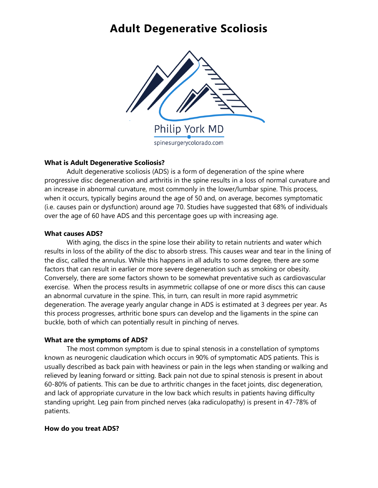## **Adult Degenerative Scoliosis**



### **What is Adult Degenerative Scoliosis?**

Adult degenerative scoliosis (ADS) is a form of degeneration of the spine where progressive disc degeneration and arthritis in the spine results in a loss of normal curvature and an increase in abnormal curvature, most commonly in the lower/lumbar spine. This process, when it occurs, typically begins around the age of 50 and, on average, becomes symptomatic (i.e. causes pain or dysfunction) around age 70. Studies have suggested that 68% of individuals over the age of 60 have ADS and this percentage goes up with increasing age.

### **What causes ADS?**

With aging, the discs in the spine lose their ability to retain nutrients and water which results in loss of the ability of the disc to absorb stress. This causes wear and tear in the lining of the disc, called the annulus. While this happens in all adults to some degree, there are some factors that can result in earlier or more severe degeneration such as smoking or obesity. Conversely, there are some factors shown to be somewhat preventative such as cardiovascular exercise. When the process results in asymmetric collapse of one or more discs this can cause an abnormal curvature in the spine. This, in turn, can result in more rapid asymmetric degeneration. The average yearly angular change in ADS is estimated at 3 degrees per year. As this process progresses, arthritic bone spurs can develop and the ligaments in the spine can buckle, both of which can potentially result in pinching of nerves.

### **What are the symptoms of ADS?**

The most common symptom is due to spinal stenosis in a constellation of symptoms known as neurogenic claudication which occurs in 90% of symptomatic ADS patients. This is usually described as back pain with heaviness or pain in the legs when standing or walking and relieved by leaning forward or sitting. Back pain not due to spinal stenosis is present in about 60-80% of patients. This can be due to arthritic changes in the facet joints, disc degeneration, and lack of appropriate curvature in the low back which results in patients having difficulty standing upright. Leg pain from pinched nerves (aka radiculopathy) is present in 47-78% of patients.

### **How do you treat ADS?**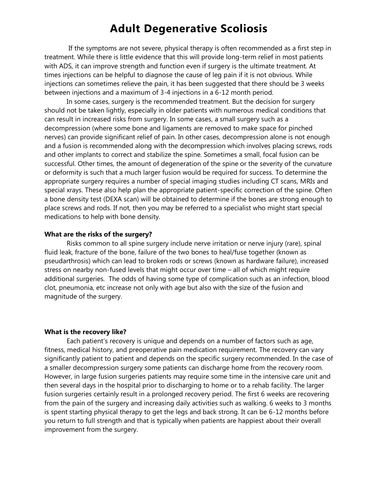## **Adult Degenerative Scoliosis**

If the symptoms are not severe, physical therapy is often recommended as a first step in treatment. While there is little evidence that this will provide long-term relief in most patients with ADS, it can improve strength and function even if surgery is the ultimate treatment. At times injections can be helpful to diagnose the cause of leg pain if it is not obvious. While injections can sometimes relieve the pain, it has been suggested that there should be 3 weeks between injections and a maximum of 3-4 injections in a 6-12 month period.

In some cases, surgery is the recommended treatment. But the decision for surgery should not be taken lightly, especially in older patients with numerous medical conditions that can result in increased risks from surgery. In some cases, a small surgery such as a decompression (where some bone and ligaments are removed to make space for pinched nerves) can provide significant relief of pain. In other cases, decompression alone is not enough and a fusion is recommended along with the decompression which involves placing screws, rods and other implants to correct and stabilize the spine. Sometimes a small, focal fusion can be successful. Other times, the amount of degeneration of the spine or the severity of the curvature or deformity is such that a much larger fusion would be required for success. To determine the appropriate surgery requires a number of special imaging studies including CT scans, MRIs and special xrays. These also help plan the appropriate patient-specific correction of the spine. Often a bone density test (DEXA scan) will be obtained to determine if the bones are strong enough to place screws and rods. If not, then you may be referred to a specialist who might start special medications to help with bone density.

### **What are the risks of the surgery?**

Risks common to all spine surgery include nerve irritation or nerve injury (rare), spinal fluid leak, fracture of the bone, failure of the two bones to heal/fuse together (known as pseudarthrosis) which can lead to broken rods or screws (known as hardware failure), increased stress on nearby non-fused levels that might occur over time – all of which might require additional surgeries. The odds of having some type of complication such as an infection, blood clot, pneumonia, etc increase not only with age but also with the size of the fusion and magnitude of the surgery.

#### **What is the recovery like?**

Each patient's recovery is unique and depends on a number of factors such as age, fitness, medical history, and preoperative pain medication requirement. The recovery can vary significantly patient to patient and depends on the specific surgery recommended. In the case of a smaller decompression surgery some patients can discharge home from the recovery room. However, in large fusion surgeries patients may require some time in the intensive care unit and then several days in the hospital prior to discharging to home or to a rehab facility. The larger fusion surgeries certainly result in a prolonged recovery period. The first 6 weeks are recovering from the pain of the surgery and increasing daily activities such as walking. 6 weeks to 3 months is spent starting physical therapy to get the legs and back strong. It can be 6-12 months before you return to full strength and that is typically when patients are happiest about their overall improvement from the surgery.